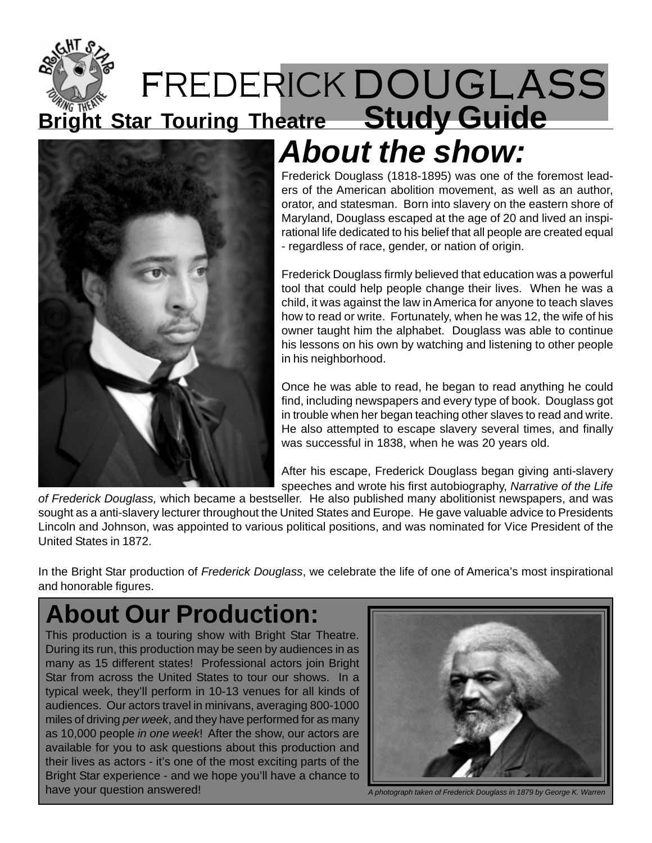



### **About the show:**

Frederick Douglass (1818-1895) was one of the foremost leaders of the American abolition movement, as well as an author, orator, and statesman. Born into slavery on the eastern shore of Maryland, Douglass escaped at the age of 20 and lived an inspirational life dedicated to his belief that all people are created equal - regardless of race, gender, or nation of origin.

Frederick Douglass firmly believed that education was a powerful tool that could help people change their lives. When he was a child, it was against the law in America for anyone to teach slaves how to read or write. Fortunately, when he was 12, the wife of his owner taught him the alphabet. Douglass was able to continue his lessons on his own by watching and listening to other people in his neighborhood.

Once he was able to read, he began to read anything he could find, including newspapers and every type of book. Douglass got in trouble when her began teaching other slaves to read and write. He also attempted to escape slavery several times, and finally was successful in 1838, when he was 20 years old.

After his escape, Frederick Douglass began giving anti-slavery speeches and wrote his first autobiography, Narrative of the Life

of Frederick Douglass, which became a bestseller. He also published many abolitionist newspapers, and was sought as a anti-slavery lecturer throughout the United States and Europe. He gave valuable advice to Presidents Lincoln and Johnson, was appointed to various political positions, and was nominated for Vice President of the United States in 1872.

In the Bright Star production of Frederick Douglass, we celebrate the life of one of America's most inspirational and honorable figures.

### **About Our Production:**

This production is a touring show with Bright Star Theatre. During its run, this production may be seen by audiences in as many as 15 different states! Professional actors join Bright Star from across the United States to tour our shows. In a typical week, they'll perform in 10-13 venues for all kinds of audiences. Our actors travel in minivans, averaging 800-1000 miles of driving per week, and they have performed for as many as 10,000 people in one week! After the show, our actors are available for you to ask questions about this production and their lives as actors - it's one of the most exciting parts of the Bright Star experience - and we hope you'll have a chance to have your question answered!



A photograph taken of Frederick Douglass in 1879 by George K. Warren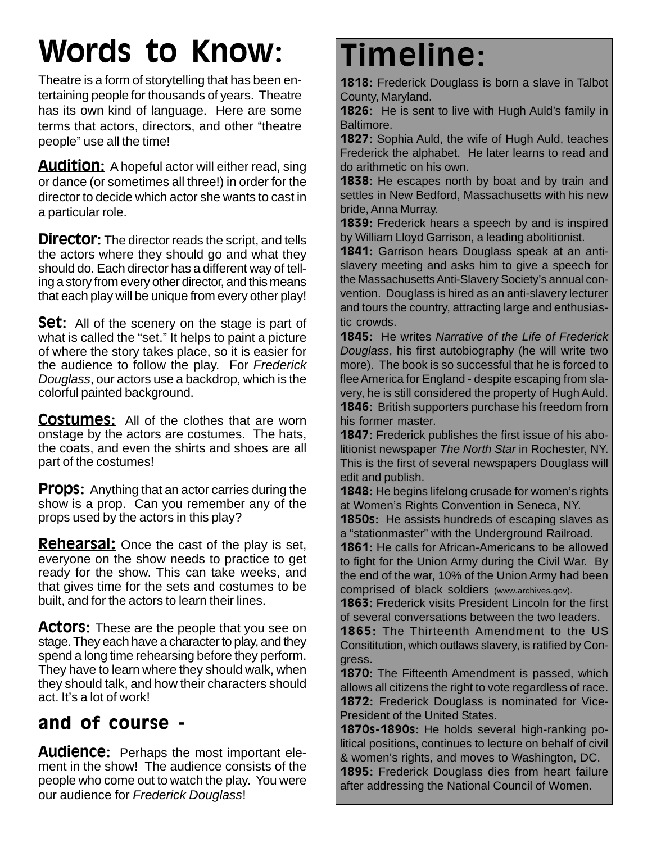## Words to Know:

Theatre is a form of storytelling that has been entertaining people for thousands of years. Theatre has its own kind of language. Here are some terms that actors, directors, and other "theatre people" use all the time!

**Audition:** A hopeful actor will either read, sing or dance (or sometimes all three!) in order for the director to decide which actor she wants to cast in a particular role.

**Director:** The director reads the script, and tells the actors where they should go and what they should do. Each director has a different way of telling a story from every other director, and this means that each play will be unique from every other play!

**Set:** All of the scenery on the stage is part of what is called the "set." It helps to paint a picture of where the story takes place, so it is easier for the audience to follow the play. For Frederick Douglass, our actors use a backdrop, which is the colorful painted background.

**Costumes:** All of the clothes that are worn onstage by the actors are costumes. The hats, the coats, and even the shirts and shoes are all part of the costumes!

**Props:** Anything that an actor carries during the show is a prop. Can you remember any of the props used by the actors in this play?

**Rehearsal:** Once the cast of the play is set, everyone on the show needs to practice to get ready for the show. This can take weeks, and that gives time for the sets and costumes to be built, and for the actors to learn their lines.

**Actors:** These are the people that you see on stage. They each have a character to play, and they spend a long time rehearsing before they perform. They have to learn where they should walk, when they should talk, and how their characters should act. It's a lot of work!

#### and of course -

**Audience:** Perhaps the most important element in the show! The audience consists of the people who come out to watch the play. You were our audience for Frederick Douglass!

### Timeline:

1818: Frederick Douglass is born a slave in Talbot County, Maryland.

**1826:** He is sent to live with Hugh Auld's family in Baltimore.

1827: Sophia Auld, the wife of Hugh Auld, teaches Frederick the alphabet. He later learns to read and do arithmetic on his own.

1838: He escapes north by boat and by train and settles in New Bedford, Massachusetts with his new bride, Anna Murray.

1839: Frederick hears a speech by and is inspired by William Lloyd Garrison, a leading abolitionist.

1841: Garrison hears Douglass speak at an antislavery meeting and asks him to give a speech for the Massachusetts Anti-Slavery Society's annual convention. Douglass is hired as an anti-slavery lecturer and tours the country, attracting large and enthusiastic crowds.

1845: He writes Narrative of the Life of Frederick Douglass, his first autobiography (he will write two more). The book is so successful that he is forced to flee America for England - despite escaping from slavery, he is still considered the property of Hugh Auld. 1846: British supporters purchase his freedom from his former master.

1847: Frederick publishes the first issue of his abolitionist newspaper The North Star in Rochester, NY. This is the first of several newspapers Douglass will edit and publish.

1848: He begins lifelong crusade for women's rights at Women's Rights Convention in Seneca, NY.

**1850s:** He assists hundreds of escaping slaves as a "stationmaster" with the Underground Railroad.

1861: He calls for African-Americans to be allowed to fight for the Union Army during the Civil War. By the end of the war, 10% of the Union Army had been comprised of black soldiers (www.archives.gov).

1863: Frederick visits President Lincoln for the first of several conversations between the two leaders.

1865: The Thirteenth Amendment to the US Consititution, which outlaws slavery, is ratified by Congress.

1870: The Fifteenth Amendment is passed, which allows all citizens the right to vote regardless of race. 1872: Frederick Douglass is nominated for Vice-President of the United States.

1870s-1890s: He holds several high-ranking political positions, continues to lecture on behalf of civil & women's rights, and moves to Washington, DC. 1895: Frederick Douglass dies from heart failure after addressing the National Council of Women.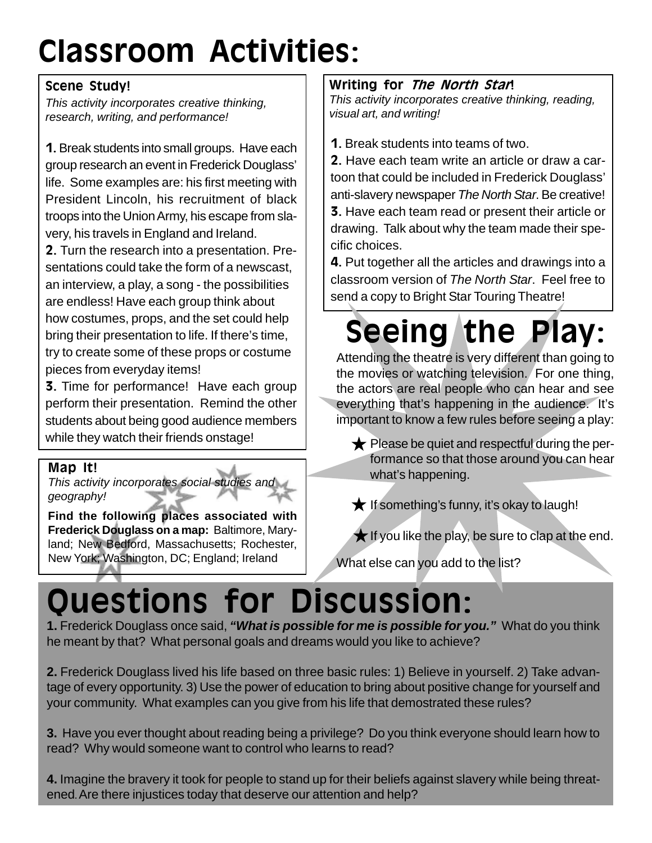# Classroom Activities:

#### Scene Study!

This activity incorporates creative thinking, research, writing, and performance!

1. Break students into small groups. Have each group research an event in Frederick Douglass' life. Some examples are: his first meeting with President Lincoln, his recruitment of black troops into the Union Army, his escape from slavery, his travels in England and Ireland.

2. Turn the research into a presentation. Presentations could take the form of a newscast, an interview, a play, a song - the possibilities are endless! Have each group think about how costumes, props, and the set could help bring their presentation to life. If there's time, try to create some of these props or costume pieces from everyday items!

**3.** Time for performance! Have each group perform their presentation. Remind the other students about being good audience members while they watch their friends onstage!

#### Map It!

This activity incorporates social studies and geography!

**Find the following places associated with Frederick Douglass on a map:** Baltimore, Maryland; New Bedford, Massachusetts; Rochester, New York; Washington, DC; England; Ireland

#### Writing for The North Stan!

This activity incorporates creative thinking, reading, visual art, and writing!

1. Break students into teams of two.

2. Have each team write an article or draw a cartoon that could be included in Frederick Douglass' anti-slavery newspaper The North Star. Be creative! 3. Have each team read or present their article or drawing. Talk about why the team made their specific choices.

4. Put together all the articles and drawings into a classroom version of The North Star. Feel free to send a copy to Bright Star Touring Theatre!

# Seeing the Play:

Attending the theatre is very different than going to the movies or watching television. For one thing, the actors are real people who can hear and see everything that's happening in the audience. It's important to know a few rules before seeing a play:

- $\bigstar$  Please be quiet and respectful during the performance so that those around you can hear what's happening.
- $\bigstar$  If something's funny, it's okay to laugh!

 $\bigstar$  If you like the play, be sure to clap at the end.

What else can you add to the list?

### Questions for Discussion:

**1.** Frederick Douglass once said, **"What is possible for me is possible for you."** What do you think he meant by that? What personal goals and dreams would you like to achieve?

**2.** Frederick Douglass lived his life based on three basic rules: 1) Believe in yourself. 2) Take advantage of every opportunity. 3) Use the power of education to bring about positive change for yourself and your community. What examples can you give from his life that demostrated these rules?

**3.** Have you ever thought about reading being a privilege? Do you think everyone should learn how to read? Why would someone want to control who learns to read?

**4.** Imagine the bravery it took for people to stand up for their beliefs against slavery while being threatened.Are there injustices today that deserve our attention and help?